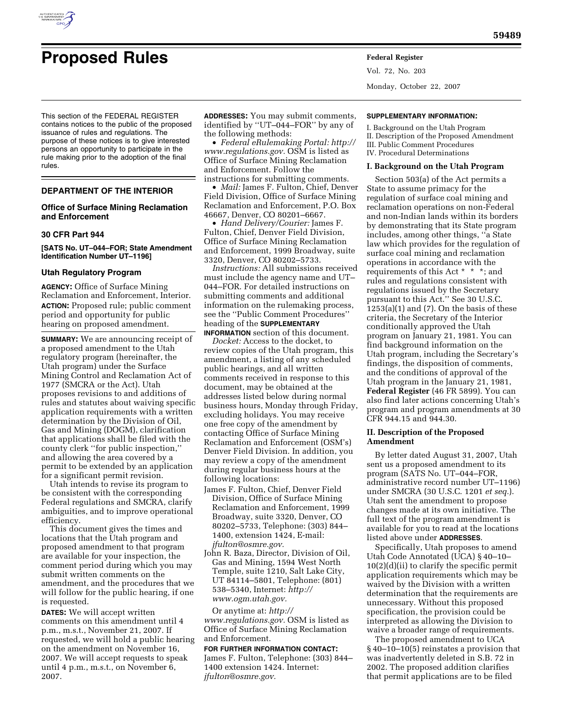

# **Proposed Rules Federal Register**

This section of the FEDERAL REGISTER contains notices to the public of the proposed issuance of rules and regulations. The purpose of these notices is to give interested persons an opportunity to participate in the rule making prior to the adoption of the final rules.

## **DEPARTMENT OF THE INTERIOR**

# **Office of Surface Mining Reclamation and Enforcement**

#### **30 CFR Part 944**

# **[SATS No. UT–044–FOR; State Amendment Identification Number UT–1196]**

# **Utah Regulatory Program**

**AGENCY:** Office of Surface Mining Reclamation and Enforcement, Interior. **ACTION:** Proposed rule; public comment period and opportunity for public hearing on proposed amendment.

**SUMMARY:** We are announcing receipt of a proposed amendment to the Utah regulatory program (hereinafter, the Utah program) under the Surface Mining Control and Reclamation Act of 1977 (SMCRA or the Act). Utah proposes revisions to and additions of rules and statutes about waiving specific application requirements with a written determination by the Division of Oil, Gas and Mining (DOGM), clarification that applications shall be filed with the county clerk ''for public inspection,'' and allowing the area covered by a permit to be extended by an application for a significant permit revision.

Utah intends to revise its program to be consistent with the corresponding Federal regulations and SMCRA, clarify ambiguities, and to improve operational efficiency.

This document gives the times and locations that the Utah program and proposed amendment to that program are available for your inspection, the comment period during which you may submit written comments on the amendment, and the procedures that we will follow for the public hearing, if one is requested.

**DATES:** We will accept written comments on this amendment until 4 p.m., m.s.t., November 21, 2007. If requested, we will hold a public hearing on the amendment on November 16, 2007. We will accept requests to speak until 4 p.m., m.s.t., on November 6, 2007.

**ADDRESSES:** You may submit comments, identified by ''UT–044–FOR'' by any of the following methods:

• *Federal eRulemaking Portal: http:// www.regulations.gov.* OSM is listed as Office of Surface Mining Reclamation and Enforcement. Follow the instructions for submitting comments.

• *Mail:* James F. Fulton, Chief, Denver Field Division, Office of Surface Mining Reclamation and Enforcement, P.O. Box 46667, Denver, CO 80201–6667.

• *Hand Delivery/Courier:* James F. Fulton, Chief, Denver Field Division, Office of Surface Mining Reclamation and Enforcement, 1999 Broadway, suite 3320, Denver, CO 80202–5733.

*Instructions:* All submissions received must include the agency name and UT– 044–FOR. For detailed instructions on submitting comments and additional information on the rulemaking process, see the ''Public Comment Procedures'' heading of the **SUPPLEMENTARY**

**INFORMATION** section of this document. *Docket:* Access to the docket, to review copies of the Utah program, this amendment, a listing of any scheduled public hearings, and all written comments received in response to this document, may be obtained at the addresses listed below during normal business hours, Monday through Friday, excluding holidays. You may receive one free copy of the amendment by contacting Office of Surface Mining Reclamation and Enforcement (OSM's) Denver Field Division. In addition, you may review a copy of the amendment during regular business hours at the following locations:

- James F. Fulton, Chief, Denver Field Division, Office of Surface Mining Reclamation and Enforcement, 1999 Broadway, suite 3320, Denver, CO 80202–5733, Telephone: (303) 844– 1400, extension 1424, E-mail: *jfulton@osmre.gov.*
- John R. Baza, Director, Division of Oil, Gas and Mining, 1594 West North Temple, suite 1210, Salt Lake City, UT 84114–5801, Telephone: (801) 538–5340, Internet: *http:// www.ogm.utah.gov.*

Or anytime at: *http:// www.regulations.gov.* OSM is listed as Office of Surface Mining Reclamation and Enforcement.

## **FOR FURTHER INFORMATION CONTACT:**

James F. Fulton, Telephone: (303) 844– 1400 extension 1424. Internet: *jfulton@osmre.gov.* 

Vol. 72, No. 203 Monday, October 22, 2007

## **SUPPLEMENTARY INFORMATION:**

I. Background on the Utah Program II. Description of the Proposed Amendment III. Public Comment Procedures IV. Procedural Determinations

#### **I. Background on the Utah Program**

Section 503(a) of the Act permits a State to assume primacy for the regulation of surface coal mining and reclamation operations on non-Federal and non-Indian lands within its borders by demonstrating that its State program includes, among other things, ''a State law which provides for the regulation of surface coal mining and reclamation operations in accordance with the requirements of this Act \* \* \*; and rules and regulations consistent with regulations issued by the Secretary pursuant to this Act.'' See 30 U.S.C.  $1253(a)(1)$  and (7). On the basis of these criteria, the Secretary of the Interior conditionally approved the Utah program on January 21, 1981. You can find background information on the Utah program, including the Secretary's findings, the disposition of comments, and the conditions of approval of the Utah program in the January 21, 1981, **Federal Register** (46 FR 5899). You can also find later actions concerning Utah's program and program amendments at 30 CFR 944.15 and 944.30.

# **II. Description of the Proposed Amendment**

By letter dated August 31, 2007, Utah sent us a proposed amendment to its program (SATS No. UT–044–FOR, administrative record number UT–1196) under SMCRA (30 U.S.C. 1201 *et seq.*). Utah sent the amendment to propose changes made at its own initiative. The full text of the program amendment is available for you to read at the locations listed above under **ADDRESSES**.

Specifically, Utah proposes to amend Utah Code Annotated (UCA) § 40–10– 10(2)(d)(ii) to clarify the specific permit application requirements which may be waived by the Division with a written determination that the requirements are unnecessary. Without this proposed specification, the provision could be interpreted as allowing the Division to waive a broader range of requirements.

The proposed amendment to UCA § 40–10–10(5) reinstates a provision that was inadvertently deleted in S.B. 72 in 2002. The proposed addition clarifies that permit applications are to be filed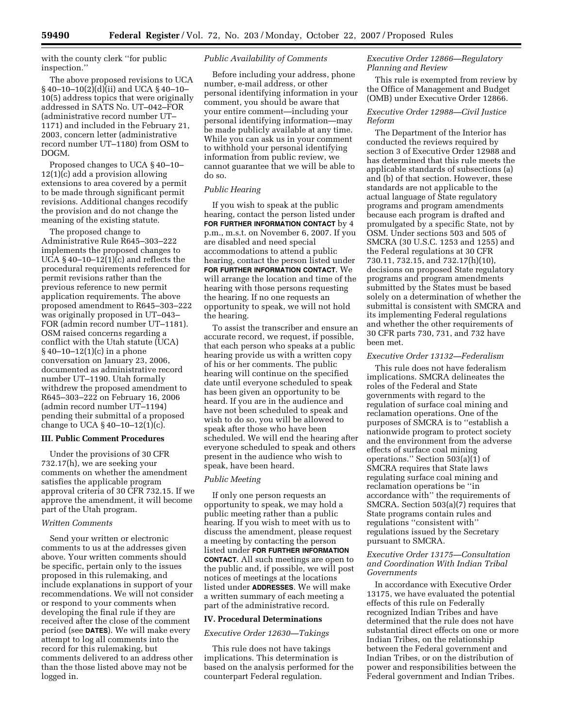with the county clerk ''for public inspection.''

The above proposed revisions to UCA § 40–10–10(2)(d)(ii) and UCA § 40–10– 10(5) address topics that were originally addressed in SATS No. UT–042–FOR (administrative record number UT– 1171) and included in the February 21, 2003, concern letter (administrative record number UT–1180) from OSM to DOGM.

Proposed changes to UCA § 40–10– 12(1)(c) add a provision allowing extensions to area covered by a permit to be made through significant permit revisions. Additional changes recodify the provision and do not change the meaning of the existing statute.

The proposed change to Administrative Rule R645–303–222 implements the proposed changes to UCA  $\S$  40–10–12(1)(c) and reflects the procedural requirements referenced for permit revisions rather than the previous reference to new permit application requirements. The above proposed amendment to R645–303–222 was originally proposed in UT–043– FOR (admin record number UT–1181). OSM raised concerns regarding a conflict with the Utah statute (UCA) § 40–10–12(1)(c) in a phone conversation on January 23, 2006, documented as administrative record number UT–1190. Utah formally withdrew the proposed amendment to R645–303–222 on February 16, 2006 (admin record number UT–1194) pending their submittal of a proposed change to UCA § 40–10–12(1)(c).

# **III. Public Comment Procedures**

Under the provisions of 30 CFR 732.17(h), we are seeking your comments on whether the amendment satisfies the applicable program approval criteria of 30 CFR 732.15. If we approve the amendment, it will become part of the Utah program.

#### *Written Comments*

Send your written or electronic comments to us at the addresses given above. Your written comments should be specific, pertain only to the issues proposed in this rulemaking, and include explanations in support of your recommendations. We will not consider or respond to your comments when developing the final rule if they are received after the close of the comment period (see **DATES**). We will make every attempt to log all comments into the record for this rulemaking, but comments delivered to an address other than the those listed above may not be logged in.

# *Public Availability of Comments*

Before including your address, phone number, e-mail address, or other personal identifying information in your comment, you should be aware that your entire comment—including your personal identifying information—may be made publicly available at any time. While you can ask us in your comment to withhold your personal identifying information from public review, we cannot guarantee that we will be able to do so.

# *Public Hearing*

If you wish to speak at the public hearing, contact the person listed under **FOR FURTHER INFORMATION CONTACT** by 4 p.m., m.s.t. on November 6, 2007. If you are disabled and need special accommodations to attend a public hearing, contact the person listed under **FOR FURTHER INFORMATION CONTACT**. We will arrange the location and time of the hearing with those persons requesting the hearing. If no one requests an opportunity to speak, we will not hold the hearing.

To assist the transcriber and ensure an accurate record, we request, if possible, that each person who speaks at a public hearing provide us with a written copy of his or her comments. The public hearing will continue on the specified date until everyone scheduled to speak has been given an opportunity to be heard. If you are in the audience and have not been scheduled to speak and wish to do so, you will be allowed to speak after those who have been scheduled. We will end the hearing after everyone scheduled to speak and others present in the audience who wish to speak, have been heard.

## *Public Meeting*

If only one person requests an opportunity to speak, we may hold a public meeting rather than a public hearing. If you wish to meet with us to discuss the amendment, please request a meeting by contacting the person listed under **FOR FURTHER INFORMATION CONTACT**. All such meetings are open to the public and, if possible, we will post notices of meetings at the locations listed under **ADDRESSES**. We will make a written summary of each meeting a part of the administrative record.

#### **IV. Procedural Determinations**

#### *Executive Order 12630—Takings*

This rule does not have takings implications. This determination is based on the analysis performed for the counterpart Federal regulation.

# *Executive Order 12866—Regulatory Planning and Review*

This rule is exempted from review by the Office of Management and Budget (OMB) under Executive Order 12866.

# *Executive Order 12988—Civil Justice Reform*

The Department of the Interior has conducted the reviews required by section 3 of Executive Order 12988 and has determined that this rule meets the applicable standards of subsections (a) and (b) of that section. However, these standards are not applicable to the actual language of State regulatory programs and program amendments because each program is drafted and promulgated by a specific State, not by OSM. Under sections 503 and 505 of SMCRA (30 U.S.C. 1253 and 1255) and the Federal regulations at 30 CFR 730.11, 732.15, and 732.17(h)(10), decisions on proposed State regulatory programs and program amendments submitted by the States must be based solely on a determination of whether the submittal is consistent with SMCRA and its implementing Federal regulations and whether the other requirements of 30 CFR parts 730, 731, and 732 have been met.

#### *Executive Order 13132—Federalism*

This rule does not have federalism implications. SMCRA delineates the roles of the Federal and State governments with regard to the regulation of surface coal mining and reclamation operations. One of the purposes of SMCRA is to ''establish a nationwide program to protect society and the environment from the adverse effects of surface coal mining operations.'' Section 503(a)(1) of SMCRA requires that State laws regulating surface coal mining and reclamation operations be ''in accordance with'' the requirements of SMCRA. Section 503(a)(7) requires that State programs contain rules and regulations ''consistent with'' regulations issued by the Secretary pursuant to SMCRA.

## *Executive Order 13175—Consultation and Coordination With Indian Tribal Governments*

In accordance with Executive Order 13175, we have evaluated the potential effects of this rule on Federally recognized Indian Tribes and have determined that the rule does not have substantial direct effects on one or more Indian Tribes, on the relationship between the Federal government and Indian Tribes, or on the distribution of power and responsibilities between the Federal government and Indian Tribes.